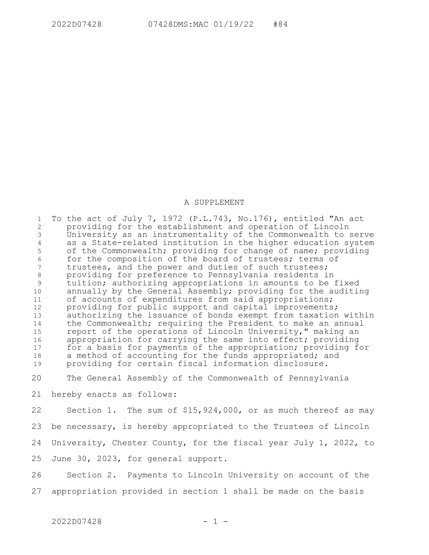## A SUPPLEMENT

To the act of July 7, 1972 (P.L.743, No.176), entitled "An act providing for the establishment and operation of Lincoln University as an instrumentality of the Commonwealth to serve as a State-related institution in the higher education system of the Commonwealth; providing for change of name; providing for the composition of the board of trustees; terms of trustees, and the power and duties of such trustees; providing for preference to Pennsylvania residents in tuition; authorizing appropriations in amounts to be fixed annually by the General Assembly; providing for the auditing of accounts of expenditures from said appropriations; providing for public support and capital improvements; authorizing the issuance of bonds exempt from taxation within the Commonwealth; requiring the President to make an annual report of the operations of Lincoln University," making an appropriation for carrying the same into effect; providing for a basis for payments of the appropriation; providing for a method of accounting for the funds appropriated; and providing for certain fiscal information disclosure. 1 2 3 4 5 6 7 8 9 10 11 12 13 14 15 16 17 18 19

The General Assembly of the Commonwealth of Pennsylvania 20

hereby enacts as follows: 21

Section 1. The sum of \$15,924,000, or as much thereof as may be necessary, is hereby appropriated to the Trustees of Lincoln University, Chester County, for the fiscal year July 1, 2022, to June 30, 2023, for general support. 22 23 24 25

Section 2. Payments to Lincoln University on account of the appropriation provided in section 1 shall be made on the basis 26 27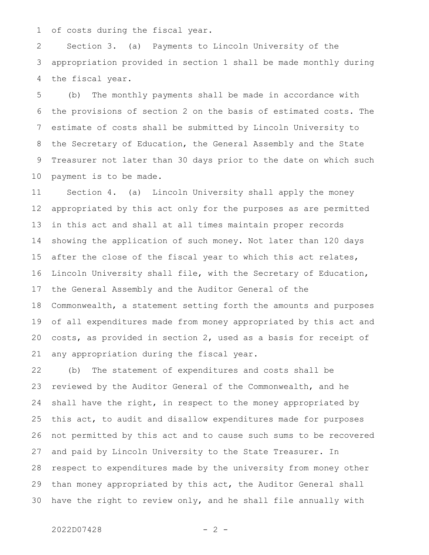of costs during the fiscal year. 1

Section 3. (a) Payments to Lincoln University of the appropriation provided in section 1 shall be made monthly during the fiscal year. 2 3 4

(b) The monthly payments shall be made in accordance with the provisions of section 2 on the basis of estimated costs. The estimate of costs shall be submitted by Lincoln University to the Secretary of Education, the General Assembly and the State Treasurer not later than 30 days prior to the date on which such payment is to be made. 5 6 7 8 9 10

Section 4. (a) Lincoln University shall apply the money appropriated by this act only for the purposes as are permitted in this act and shall at all times maintain proper records showing the application of such money. Not later than 120 days after the close of the fiscal year to which this act relates, Lincoln University shall file, with the Secretary of Education, the General Assembly and the Auditor General of the Commonwealth, a statement setting forth the amounts and purposes of all expenditures made from money appropriated by this act and costs, as provided in section 2, used as a basis for receipt of any appropriation during the fiscal year. 11 12 13 14 15 16 17 18 19 20 21

(b) The statement of expenditures and costs shall be reviewed by the Auditor General of the Commonwealth, and he shall have the right, in respect to the money appropriated by this act, to audit and disallow expenditures made for purposes not permitted by this act and to cause such sums to be recovered and paid by Lincoln University to the State Treasurer. In respect to expenditures made by the university from money other than money appropriated by this act, the Auditor General shall have the right to review only, and he shall file annually with 22 23 24 25 26 27 28 29 30